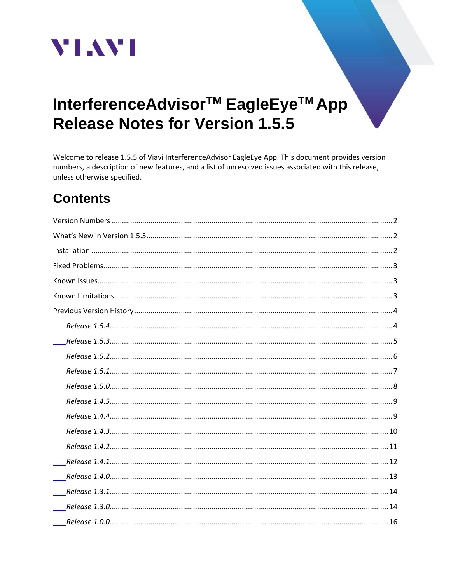

# InterferenceAdvisor<sup>™</sup> EagleEye<sup>™</sup> App **Release Notes for Version 1.5.5**

Welcome to release 1.5.5 of Viavi InterferenceAdvisor EagleEye App. This document provides version numbers, a description of new features, and a list of unresolved issues associated with this release, unless otherwise specified.

# **Contents**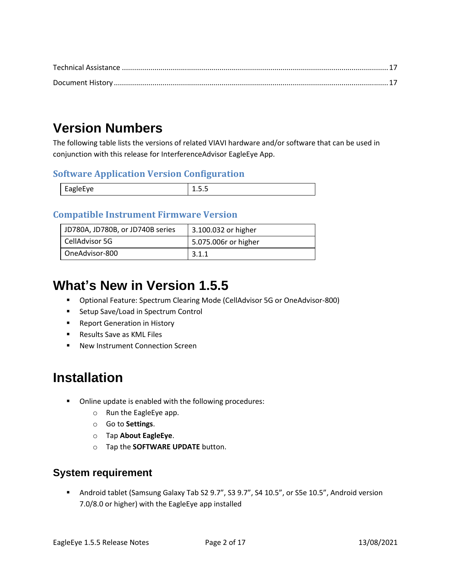# <span id="page-1-0"></span>**Version Numbers**

The following table lists the versions of related VIAVI hardware and/or software that can be used in conjunction with this release for InterferenceAdvisor EagleEye App.

#### **Software Application Version Configuration**

| ۴а<br>1918-VP<br>$-$ | . . |
|----------------------|-----|
|                      |     |

#### **Compatible Instrument Firmware Version**

| JD780A, JD780B, or JD740B series | 3.100.032 or higher  |
|----------------------------------|----------------------|
| CellAdvisor 5G                   | 5.075.006r or higher |
| OneAdvisor-800                   | 3.1.1                |

## <span id="page-1-1"></span>**What's New in Version 1.5.5**

- Optional Feature: Spectrum Clearing Mode (CellAdvisor 5G or OneAdvisor-800)
- Setup Save/Load in Spectrum Control
- Report Generation in History
- Results Save as KML Files
- New Instrument Connection Screen

# <span id="page-1-2"></span>**Installation**

- Online update is enabled with the following procedures:
	- o Run the EagleEye app.
	- o Go to **Settings**.
	- o Tap **About EagleEye**.
	- o Tap the **SOFTWARE UPDATE** button.

#### **System requirement**

**■** Android tablet (Samsung Galaxy Tab S2 9.7", S3 9.7", S4 10.5", or S5e 10.5", Android version 7.0/8.0 or higher) with the EagleEye app installed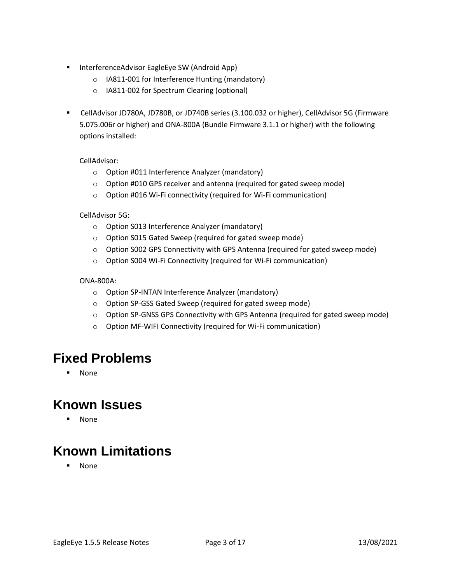- InterferenceAdvisor EagleEye SW (Android App)
	- o IA811-001 for Interference Hunting (mandatory)
	- o IA811-002 for Spectrum Clearing (optional)
- CellAdvisor JD780A, JD780B, or JD740B series (3.100.032 or higher), CellAdvisor 5G (Firmware 5.075.006r or higher) and ONA-800A (Bundle Firmware 3.1.1 or higher) with the following options installed:

CellAdvisor:

- o Option #011 Interference Analyzer (mandatory)
- o Option #010 GPS receiver and antenna (required for gated sweep mode)
- o Option #016 Wi-Fi connectivity (required for Wi-Fi communication)

CellAdvisor 5G:

- o Option S013 Interference Analyzer (mandatory)
- o Option S015 Gated Sweep (required for gated sweep mode)
- o Option S002 GPS Connectivity with GPS Antenna (required for gated sweep mode)
- o Option S004 Wi-Fi Connectivity (required for Wi-Fi communication)

#### ONA-800A:

- o Option SP-INTAN Interference Analyzer (mandatory)
- o Option SP-GSS Gated Sweep (required for gated sweep mode)
- o Option SP-GNSS GPS Connectivity with GPS Antenna (required for gated sweep mode)
- o Option MF-WIFI Connectivity (required for Wi-Fi communication)

### <span id="page-2-0"></span>**Fixed Problems**

▪ None

### <span id="page-2-1"></span>**Known Issues**

▪ None

# <span id="page-2-2"></span>**Known Limitations**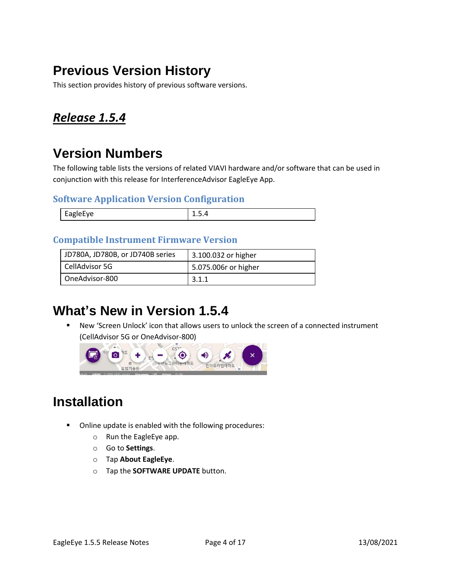# <span id="page-3-0"></span>**Previous Version History**

This section provides history of previous software versions.

### <span id="page-3-1"></span>*Release 1.5.4*

# **Version Numbers**

The following table lists the versions of related VIAVI hardware and/or software that can be used in conjunction with this release for InterferenceAdvisor EagleEye App.

#### **Software Application Version Configuration**

| $\sim$ |
|--------|
|--------|

#### **Compatible Instrument Firmware Version**

| JD780A, JD780B, or JD740B series | 3.100.032 or higher  |
|----------------------------------|----------------------|
| CellAdvisor 5G                   | 5.075.006r or higher |
| OneAdvisor-800                   | 3.1.1                |

### **What's New in Version 1.5.4**

■ New 'Screen Unlock' icon that allows users to unlock the screen of a connected instrument (CellAdvisor 5G or OneAdvisor-800)



# **Installation**

- Online update is enabled with the following procedures:
	- o Run the EagleEye app.
	- o Go to **Settings**.
	- o Tap **About EagleEye**.
	- o Tap the **SOFTWARE UPDATE** button.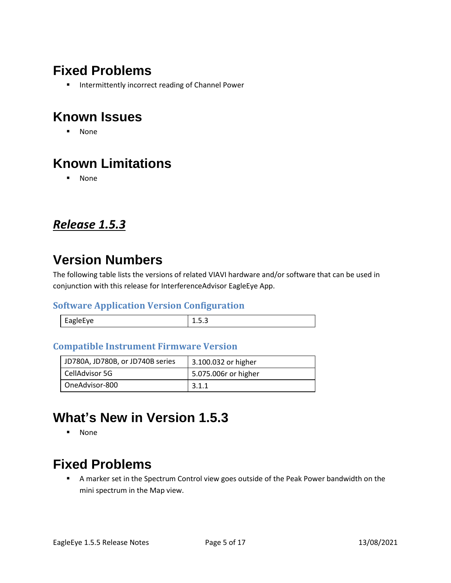# **Fixed Problems**

■ Intermittently incorrect reading of Channel Power

# **Known Issues**

▪ None

# **Known Limitations**

▪ None

### <span id="page-4-0"></span>*Release 1.5.3*

### **Version Numbers**

The following table lists the versions of related VIAVI hardware and/or software that can be used in conjunction with this release for InterferenceAdvisor EagleEye App.

#### **Software Application Version Configuration**

| apiprve |  |
|---------|--|

#### **Compatible Instrument Firmware Version**

| JD780A, JD780B, or JD740B series | 3.100.032 or higher  |
|----------------------------------|----------------------|
| CellAdvisor 5G                   | 5.075.006r or higher |
| OneAdvisor-800                   | 3.1.1                |

# **What's New in Version 1.5.3**

▪ None

# **Fixed Problems**

■ A marker set in the Spectrum Control view goes outside of the Peak Power bandwidth on the mini spectrum in the Map view.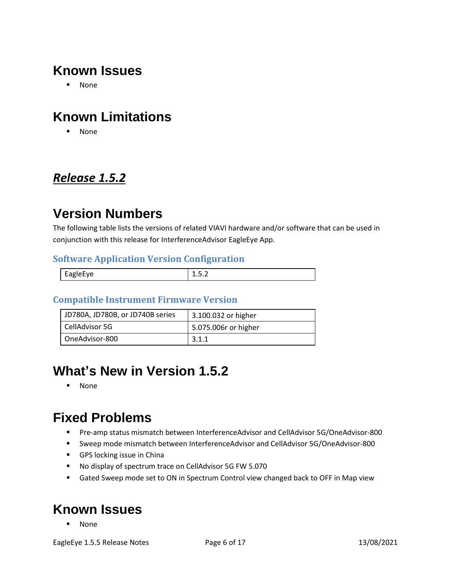# **Known Issues**

▪ None

# **Known Limitations**

▪ None

### <span id="page-5-0"></span>*Release 1.5.2*

# **Version Numbers**

The following table lists the versions of related VIAVI hardware and/or software that can be used in conjunction with this release for InterferenceAdvisor EagleEye App.

#### **Software Application Version Configuration**

| auiprvp |  |
|---------|--|
|         |  |

#### **Compatible Instrument Firmware Version**

| JD780A, JD780B, or JD740B series | 3.100.032 or higher  |
|----------------------------------|----------------------|
| CellAdvisor 5G                   | 5.075.006r or higher |
| OneAdvisor-800                   | 3.1.1                |

# **What's New in Version 1.5.2**

▪ None

# **Fixed Problems**

- Pre-amp status mismatch between InterferenceAdvisor and CellAdvisor 5G/OneAdvisor-800
- Sweep mode mismatch between InterferenceAdvisor and CellAdvisor 5G/OneAdvisor-800
- GPS locking issue in China
- No display of spectrum trace on CellAdvisor 5G FW 5.070
- Gated Sweep mode set to ON in Spectrum Control view changed back to OFF in Map view

### **Known Issues**

▪ None

EagleEye 1.5.5 Release Notes **Page 6 of 17** 13/08/2021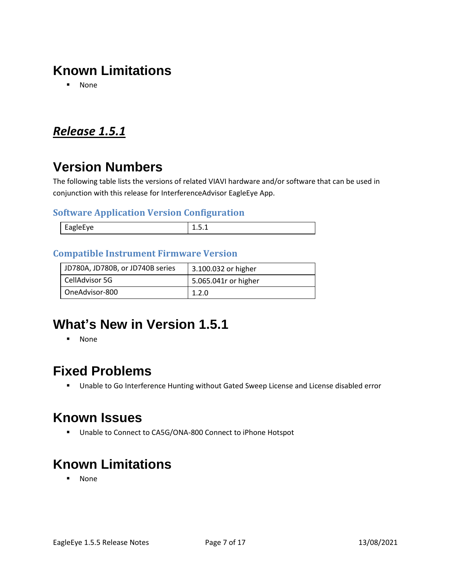# **Known Limitations**

▪ None

### <span id="page-6-0"></span>*Release 1.5.1*

# **Version Numbers**

The following table lists the versions of related VIAVI hardware and/or software that can be used in conjunction with this release for InterferenceAdvisor EagleEye App.

#### **Software Application Version Configuration**

| ---- |
|------|

#### **Compatible Instrument Firmware Version**

| JD780A, JD780B, or JD740B series | 3.100.032 or higher  |
|----------------------------------|----------------------|
| CellAdvisor 5G                   | 5.065.041r or higher |
| OneAdvisor-800                   | 1.2.0                |

# **What's New in Version 1.5.1**

▪ None

### **Fixed Problems**

■ Unable to Go Interference Hunting without Gated Sweep License and License disabled error

# **Known Issues**

■ Unable to Connect to CA5G/ONA-800 Connect to iPhone Hotspot

# **Known Limitations**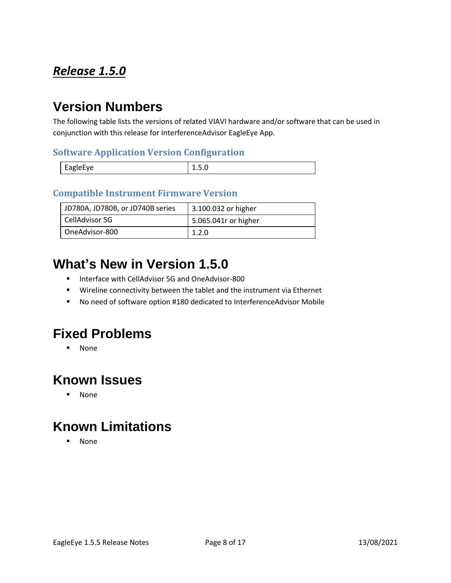# <span id="page-7-0"></span>*Release 1.5.0*

# **Version Numbers**

The following table lists the versions of related VIAVI hardware and/or software that can be used in conjunction with this release for InterferenceAdvisor EagleEye App.

#### **Software Application Version Configuration**

| EagleEye | -⊷ |
|----------|----|

#### **Compatible Instrument Firmware Version**

| JD780A, JD780B, or JD740B series | 3.100.032 or higher  |
|----------------------------------|----------------------|
| CellAdvisor 5G                   | 5.065.041r or higher |
| OneAdvisor-800                   | 1.2.0                |

# **What's New in Version 1.5.0**

- Interface with CellAdvisor 5G and OneAdvisor-800
- Wireline connectivity between the tablet and the instrument via Ethernet
- No need of software option #180 dedicated to InterferenceAdvisor Mobile

### **Fixed Problems**

▪ None

### **Known Issues**

▪ None

# **Known Limitations**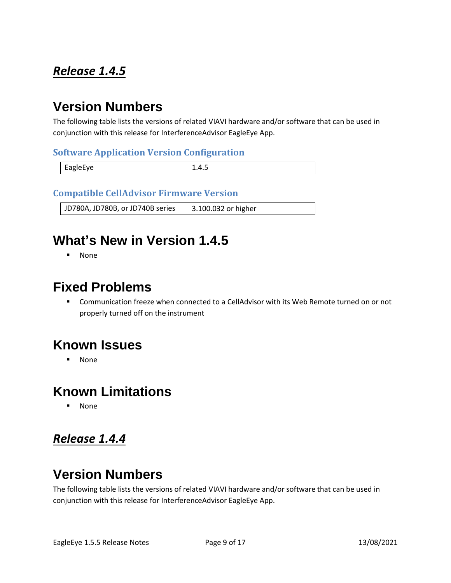# <span id="page-8-0"></span>*Release 1.4.5*

## **Version Numbers**

The following table lists the versions of related VIAVI hardware and/or software that can be used in conjunction with this release for InterferenceAdvisor EagleEye App.

#### **Software Application Version Configuration**

| <b>FAPIPFVP</b> | ---- |
|-----------------|------|

#### **Compatible CellAdvisor Firmware Version**

JD780A, JD780B, or JD740B series | 3.100.032 or higher

# **What's New in Version 1.4.5**

▪ None

### **Fixed Problems**

■ Communication freeze when connected to a CellAdvisor with its Web Remote turned on or not properly turned off on the instrument

### **Known Issues**

▪ None

### **Known Limitations**

**None** 

### <span id="page-8-1"></span>*Release 1.4.4*

# **Version Numbers**

The following table lists the versions of related VIAVI hardware and/or software that can be used in conjunction with this release for InterferenceAdvisor EagleEye App.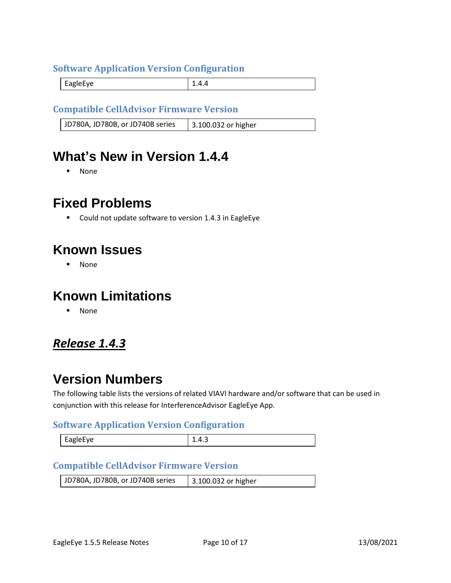#### **Software Application Version Configuration**

EagleEye 2.4.4

#### **Compatible CellAdvisor Firmware Version**

JD780A, JD780B, or JD740B series | 3.100.032 or higher

### **What's New in Version 1.4.4**

▪ None

### **Fixed Problems**

■ Could not update software to version 1.4.3 in EagleEye

### **Known Issues**

▪ None

### **Known Limitations**

▪ None

### <span id="page-9-0"></span>*Release 1.4.3*

### **Version Numbers**

The following table lists the versions of related VIAVI hardware and/or software that can be used in conjunction with this release for InterferenceAdvisor EagleEye App.

#### **Software Application Version Configuration**

| AVHAIQE<br>יס~– | ∸.−. |
|-----------------|------|
|-----------------|------|

#### **Compatible CellAdvisor Firmware Version**

| JD780A, JD780B, or JD740B series | 3.100.032 or higher |
|----------------------------------|---------------------|
|----------------------------------|---------------------|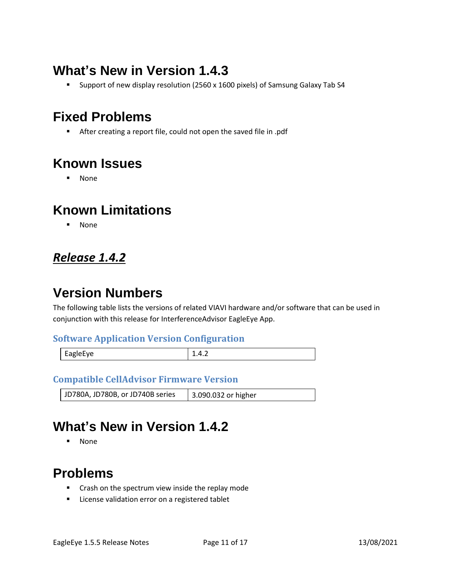# **What's New in Version 1.4.3**

■ Support of new display resolution (2560 x 1600 pixels) of Samsung Galaxy Tab S4

# **Fixed Problems**

■ After creating a report file, could not open the saved file in .pdf

# **Known Issues**

▪ None

### **Known Limitations**

▪ None

## <span id="page-10-0"></span>*Release 1.4.2*

# **Version Numbers**

The following table lists the versions of related VIAVI hardware and/or software that can be used in conjunction with this release for InterferenceAdvisor EagleEye App.

#### **Software Application Version Configuration**

| EagleEye | $\cdots$ |
|----------|----------|
|          |          |

#### **Compatible CellAdvisor Firmware Version**

JD780A, JD780B, or JD740B series | 3.090.032 or higher

# **What's New in Version 1.4.2**

▪ None

# **Problems**

- Crash on the spectrum view inside the replay mode
- License validation error on a registered tablet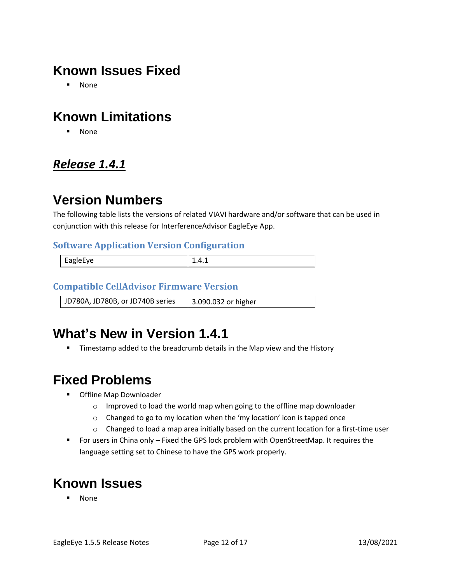# **Known Issues Fixed**

▪ None

# **Known Limitations**

▪ None

### <span id="page-11-0"></span>*Release 1.4.1*

# **Version Numbers**

The following table lists the versions of related VIAVI hardware and/or software that can be used in conjunction with this release for InterferenceAdvisor EagleEye App.

#### **Software Application Version Configuration**

| $\overline{ }$<br>.<br>н.<br><b>AUIPFVE</b><br>- - | ---- |
|----------------------------------------------------|------|
|                                                    |      |

#### **Compatible CellAdvisor Firmware Version**

JD780A, JD780B, or JD740B series 3.090.032 or higher

# **What's New in Version 1.4.1**

**■** Timestamp added to the breadcrumb details in the Map view and the History

# **Fixed Problems**

- Offline Map Downloader
	- o Improved to load the world map when going to the offline map downloader
	- o Changed to go to my location when the 'my location' icon is tapped once
	- $\circ$  Changed to load a map area initially based on the current location for a first-time user
- For users in China only Fixed the GPS lock problem with OpenStreetMap. It requires the language setting set to Chinese to have the GPS work properly.

# **Known Issues**

**None**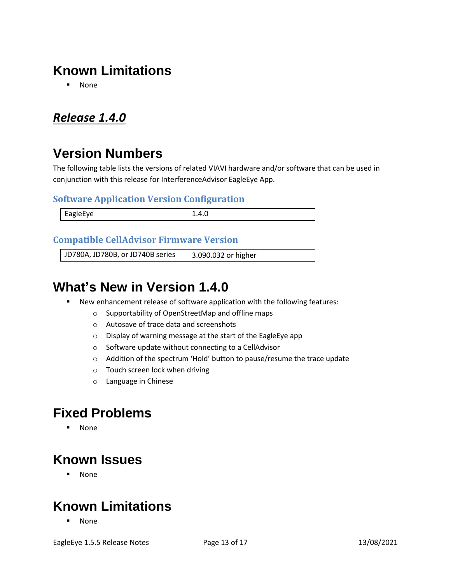# **Known Limitations**

▪ None

### <span id="page-12-0"></span>*Release 1.4.0*

# **Version Numbers**

The following table lists the versions of related VIAVI hardware and/or software that can be used in conjunction with this release for InterferenceAdvisor EagleEye App.

#### **Software Application Version Configuration**

| <b>FagleFve</b><br>$\sim$<br>$\sim$ $\sim$ | $\cdots$<br>________ |
|--------------------------------------------|----------------------|

#### **Compatible CellAdvisor Firmware Version**

JD780A, JD780B, or JD740B series 3.090.032 or higher

## **What's New in Version 1.4.0**

- New enhancement release of software application with the following features:
	- o Supportability of OpenStreetMap and offline maps
	- o Autosave of trace data and screenshots
	- o Display of warning message at the start of the EagleEye app
	- o Software update without connecting to a CellAdvisor
	- o Addition of the spectrum 'Hold' button to pause/resume the trace update
	- o Touch screen lock when driving
	- o Language in Chinese

### **Fixed Problems**

▪ None

### **Known Issues**

▪ None

### **Known Limitations**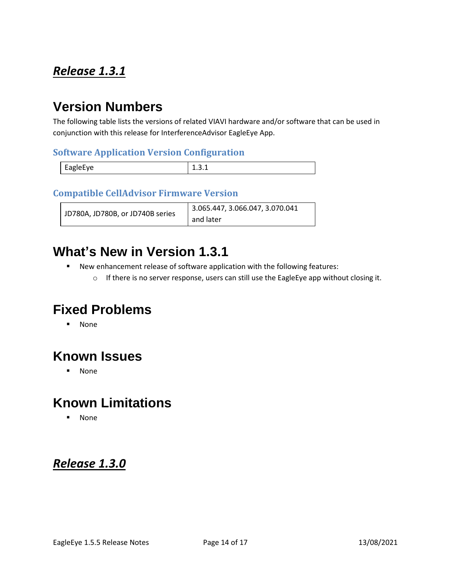## <span id="page-13-0"></span>*Release 1.3.1*

## **Version Numbers**

The following table lists the versions of related VIAVI hardware and/or software that can be used in conjunction with this release for InterferenceAdvisor EagleEye App.

#### **Software Application Version Configuration**

|          | - |
|----------|---|
| EagleEye |   |

#### **Compatible CellAdvisor Firmware Version**

|                                  | 3.065.447, 3.066.047, 3.070.041 |
|----------------------------------|---------------------------------|
| JD780A, JD780B, or JD740B series | and later                       |

### **What's New in Version 1.3.1**

- New enhancement release of software application with the following features:
	- o If there is no server response, users can still use the EagleEye app without closing it.

# **Fixed Problems**

▪ None

# **Known Issues**

▪ None

# **Known Limitations**

▪ None

### <span id="page-13-1"></span>*Release 1.3.0*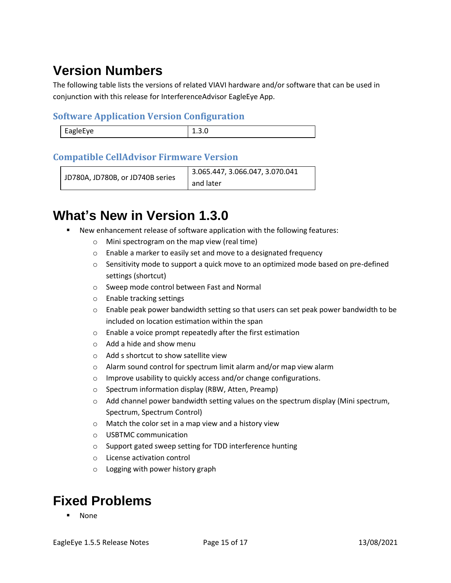# **Version Numbers**

The following table lists the versions of related VIAVI hardware and/or software that can be used in conjunction with this release for InterferenceAdvisor EagleEye App.

#### **Software Application Version Configuration**

| <b>FABIPFVP</b><br>Lupic- | - - - - - |
|---------------------------|-----------|
|                           |           |

#### **Compatible CellAdvisor Firmware Version**

```
JD780A, JD780B, or JD740B series
                         3.065.447, 3.066.047, 3.070.041 
                         and later
```
# **What's New in Version 1.3.0**

- New enhancement release of software application with the following features:
	- o Mini spectrogram on the map view (real time)
	- o Enable a marker to easily set and move to a designated frequency
	- $\circ$  Sensitivity mode to support a quick move to an optimized mode based on pre-defined settings (shortcut)
	- o Sweep mode control between Fast and Normal
	- o Enable tracking settings
	- $\circ$  Enable peak power bandwidth setting so that users can set peak power bandwidth to be included on location estimation within the span
	- o Enable a voice prompt repeatedly after the first estimation
	- o Add a hide and show menu
	- o Add s shortcut to show satellite view
	- o Alarm sound control for spectrum limit alarm and/or map view alarm
	- o Improve usability to quickly access and/or change configurations.
	- o Spectrum information display (RBW, Atten, Preamp)
	- $\circ$  Add channel power bandwidth setting values on the spectrum display (Mini spectrum, Spectrum, Spectrum Control)
	- o Match the color set in a map view and a history view
	- o USBTMC communication
	- o Support gated sweep setting for TDD interference hunting
	- o License activation control
	- o Logging with power history graph

# **Fixed Problems**

**None**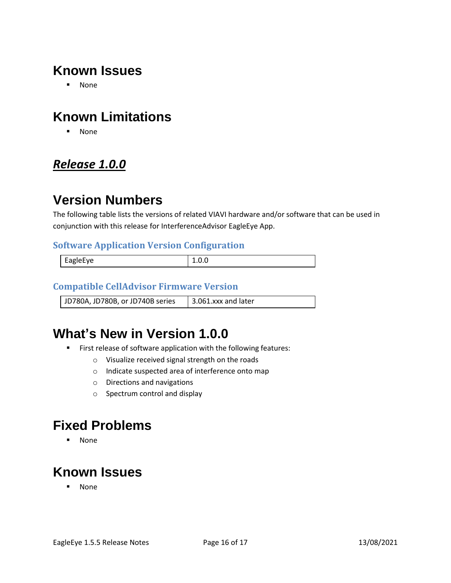# **Known Issues**

▪ None

# **Known Limitations**

▪ None

### <span id="page-15-0"></span>*Release 1.0.0*

## **Version Numbers**

The following table lists the versions of related VIAVI hardware and/or software that can be used in conjunction with this release for InterferenceAdvisor EagleEye App.

#### **Software Application Version Configuration**

| EagleEye |  |
|----------|--|
|          |  |

#### **Compatible CellAdvisor Firmware Version**

JD780A, JD780B, or JD740B series  $\parallel$  3.061.xxx and later

# **What's New in Version 1.0.0**

- First release of software application with the following features:
	- o Visualize received signal strength on the roads
	- o Indicate suspected area of interference onto map
	- o Directions and navigations
	- o Spectrum control and display

### **Fixed Problems**

▪ None

# **Known Issues**